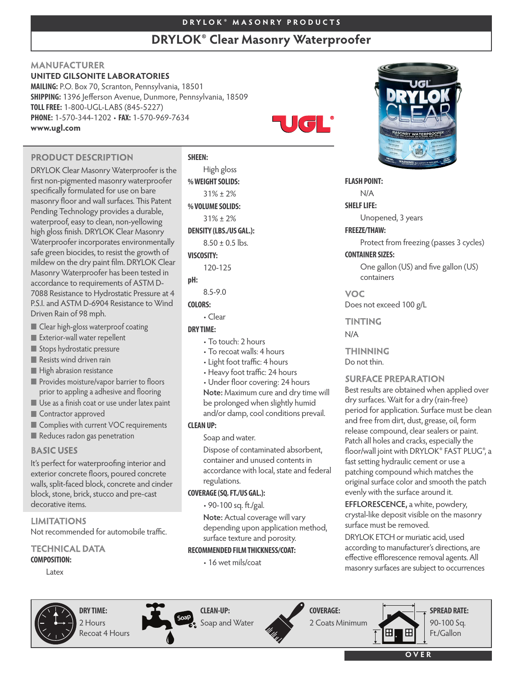# **D R Y L O K ® M A S O N R Y P R O D U C T S**

# **DRYLOK® Clear Masonry Waterproofer**

# **MANUFACTURER**

# **UNITED GILSONITE LABORATORIES**

**MAILING:** P.O. Box 70, Scranton, Pennsylvania, 18501 **SHIPPING:** 1396 Jefferson Avenue, Dunmore, Pennsylvania, 18509 **TOLLFREE:** 1-800-UGL-LABS (845-5227) **PHONE:** 1-570-344-1202 • **FAX:** 1-570-969-7634 **www.ugl.com**

# **PRODUCT DESCRIPTION**

DRYLOK Clear Masonry Waterproofer is the first non-pigmented masonry waterproofer specifically formulated for use on bare masonry floor and wall surfaces. This Patent Pending Technology provides a durable, waterproof, easy to clean, non-yellowing high gloss finish. DRYLOK Clear Masonry Waterproofer incorporates environmentally safe green biocides, to resist the growth of mildew on the dry paint film. DRYLOK Clear Masonry Waterproofer has been tested in accordance to requirements of ASTM D-7088 Resistance to Hydrostatic Pressure at 4 P.S.I. and ASTM D-6904 Resistance to Wind Driven Rain of 98 mph.

- **Clear high-gloss waterproof coating**
- **Exterior-wall water repellent**
- Stops hydrostatic pressure
- Resists wind driven rain
- **High abrasion resistance**
- **Provides moisture/vapor barrier to floors** prior to appling a adhesive and flooring
- Use as a finish coat or use under latex paint
- **Contractor approved**
- Complies with current VOC requirements
- Reduces radon gas penetration

# **BASIC USES**

It's perfect for waterproofing interior and exterior concrete floors, poured concrete walls, split-faced block, concrete and cinder block, stone, brick, stucco and pre-cast decorative items.

## **LIMITATIONS**

Not recommended for automobile traffic.

# **TECHNICAL DATA**

**COMPOSITION:**

Latex

# **SHEEN:**

High gloss **%WEIGHTSOLIDS:** 31% ± 2% **%VOLUMESOLIDS:** 31% ± 2% **DENSITY (LBS./US GAL.):**  $8.50 \pm 0.5$  lbs. **VISCOSITY:**

120-125

# **pH:**

8.5-9.0

# **COLORS:**

• Clear

#### **DRY TIME:**

- To touch: 2 hours
- To recoat walls: 4 hours
- Light foot traffic: 4 hours
- Heavy foot traffic: 24 hours
- Under floor covering: 24 hours
- **Note:** Maximum cure and dry time will be prolonged when slightly humid
- and/or damp, cool conditions prevail. **CLEANUP:**

Soap and water.

Dispose of contaminated absorbent, container and unused contents in accordance with local, state and federal regulations.

#### **COVERAGE(SQ.FT./US GAL.):**

• 90-100 sq. ft./gal.

**Note:** Actual coverage will vary depending upon application method, surface texture and porosity.

#### **RECOMMENDED FILMTHICKNESS/COAT:**

• 16 wet mils/coat



**FLASH POINT:**

®

 $\mathbf{U}(\mathbf{C})$ 

N/A

#### **SHELF LIFE:**

Unopened, 3 years

#### **FREEZE/THAW:**

Protect from freezing (passes 3 cycles)

# **CONTAINER SIZES:**

One gallon (US) and five gallon (US) containers

#### **VOC**

Does not exceed 100 g/L

#### **TINTING**

N/A

**THINNING** Do not thin.

#### **SURFACE PREPARATION**

Best results are obtained when applied over dry surfaces. Wait for a dry (rain-free) period for application. Surface must be clean and free from dirt, dust, grease, oil, form release compound, clear sealers or paint. Patch all holes and cracks, especially the floor/wall joint with DRYLOK® FAST PLUG®, a fast setting hydraulic cement or use a patching compound which matches the original surface color and smooth the patch evenly with the surface around it.

**EFFLORESCENCE,** a white, powdery, crystal-like deposit visible on the masonry surface must be removed.

DRYLOK ETCH or muriatic acid, used according to manufacturer's directions, are effective efflorescence removal agents. All masonry surfaces are subject to occurrences



**DRY TIME:** 2 Hours Recoat 4 Hours



**CLEAN-UP:** Soap and Water



2 Coats Minimum

**COVERAGE:**



90-100 Sq. Ft./Gallon